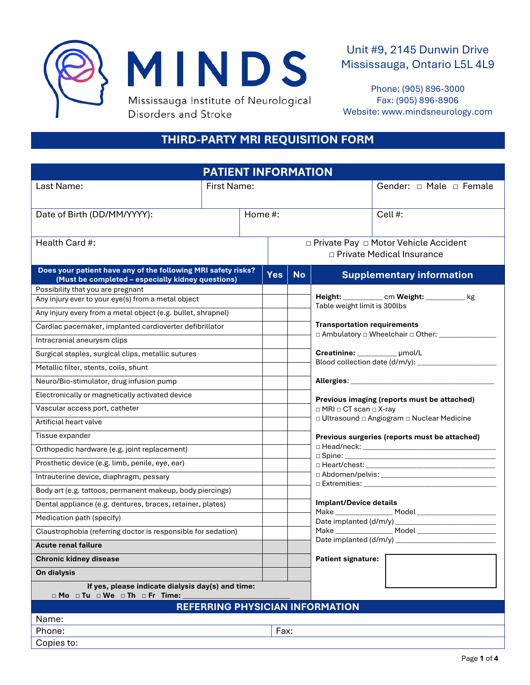



Phone: (905) 896-3000 Fax: (905) 896-8906 Website: www.mindsneurology.com

# **THIRD-PARTY MRI REQUISITION FORM**

| <b>PATIENT INFORMATION</b>                                                                                         |             |            |           |                                                                                       |                                                          |
|--------------------------------------------------------------------------------------------------------------------|-------------|------------|-----------|---------------------------------------------------------------------------------------|----------------------------------------------------------|
| Last Name:                                                                                                         | First Name: |            |           | Gender: $\Box$ Male $\Box$ Female                                                     |                                                          |
|                                                                                                                    |             |            |           |                                                                                       |                                                          |
| Date of Birth (DD/MM/YYYY):                                                                                        |             | Home #:    |           |                                                                                       | Cell #:                                                  |
|                                                                                                                    |             |            |           |                                                                                       |                                                          |
| Health Card #:                                                                                                     |             |            |           |                                                                                       | □ Private Pay □ Motor Vehicle Accident                   |
|                                                                                                                    |             |            |           |                                                                                       | □ Private Medical Insurance                              |
| Does your patient have any of the following MRI safety risks?<br>(Must be completed - especially kidney questions) |             | <b>Yes</b> | <b>No</b> |                                                                                       | <b>Supplementary information</b>                         |
| Possibility that you are pregnant                                                                                  |             |            |           |                                                                                       |                                                          |
| Any injury ever to your eye(s) from a metal object                                                                 |             |            |           | Height: _____________ cm Weight: ___________ kg<br>Table weight limit is 300lbs       |                                                          |
| Any injury every from a metal object (e.g. bullet, shrapnel)                                                       |             |            |           |                                                                                       |                                                          |
| Cardiac pacemaker, implanted cardioverter defibrillator                                                            |             |            |           | <b>Transportation requirements</b><br>□ Ambulatory □ Wheelchair □ Other: ___________  |                                                          |
| Intracranial aneurysm clips                                                                                        |             |            |           | Creatinine: __________ µmol/L                                                         |                                                          |
| Surgical staples, surgical clips, metallic sutures                                                                 |             |            |           |                                                                                       |                                                          |
| Metallic filter, stents, coils, shunt                                                                              |             |            |           |                                                                                       |                                                          |
| Neuro/Bio-stimulator, drug infusion pump                                                                           |             |            |           |                                                                                       |                                                          |
| Electronically or magnetically activated device                                                                    |             |            |           | Previous imaging (reports must be attached)                                           |                                                          |
| Vascular access port, catheter                                                                                     |             |            |           | $\Box$ MRI $\Box$ CT scan $\Box$ X-ray<br>□ Ultrasound □ Angiogram □ Nuclear Medicine |                                                          |
| Artificial heart valve                                                                                             |             |            |           |                                                                                       |                                                          |
| Tissue expander                                                                                                    |             |            |           |                                                                                       | Previous surgeries (reports must be attached)            |
| Orthopedic hardware (e.g. joint replacement)                                                                       |             |            |           |                                                                                       | $\square$ Head/neck: $\qquad \qquad$<br>$\square$ Spine: |
| Prosthetic device (e.g. limb, penile, eye, ear)                                                                    |             |            |           |                                                                                       |                                                          |
| Intrauterine device, diaphragm, pessary                                                                            |             |            |           |                                                                                       |                                                          |
| Body art (e.g. tattoos, permanent makeup, body piercings)                                                          |             |            |           |                                                                                       |                                                          |
| Dental appliance (e.g. dentures, braces, retainer, plates)                                                         |             |            |           | <b>Implant/Device details</b>                                                         |                                                          |
| Medication path (specify)                                                                                          |             |            |           |                                                                                       |                                                          |
| Claustrophobia (referring doctor is responsible for sedation)                                                      |             |            |           |                                                                                       |                                                          |
| <b>Acute renal failure</b>                                                                                         |             |            |           |                                                                                       |                                                          |
| <b>Chronic kidney disease</b>                                                                                      |             |            |           | <b>Patient signature:</b>                                                             |                                                          |
| On dialysis                                                                                                        |             |            |           |                                                                                       |                                                          |
| If yes, please indicate dialysis day(s) and time:<br>□ Mo □ Tu □ We □ Th □ Fr Time:                                |             |            |           |                                                                                       |                                                          |
|                                                                                                                    |             |            |           | <b>REFERRING PHYSICIAN INFORMATION</b>                                                |                                                          |
| Name:                                                                                                              |             |            |           |                                                                                       |                                                          |
| Phone:                                                                                                             |             | Fax:       |           |                                                                                       |                                                          |
| Copies to:                                                                                                         |             |            |           |                                                                                       |                                                          |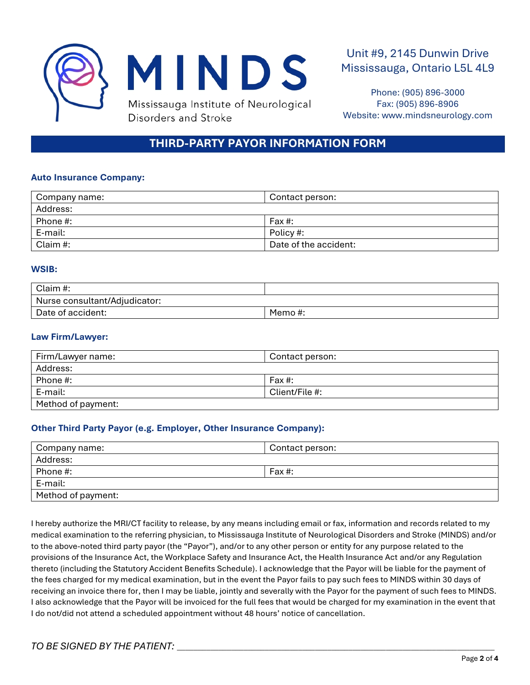

Phone: (905) 896-3000 Fax: (905) 896-8906 Website: www.mindsneurology.com

# **THIRD-PARTY PAYOR INFORMATION FORM**

#### **Auto Insurance Company:**

| Company name: | Contact person:       |  |
|---------------|-----------------------|--|
| Address:      |                       |  |
| Phone #:      | Fax#:                 |  |
| E-mail:       | Policy #:             |  |
| Claim #:      | Date of the accident: |  |

#### **WSIB:**

| Claim #:                      |        |
|-------------------------------|--------|
| Nurse consultant/Adjudicator: |        |
| Date of accident:             | Memo#: |

#### **Law Firm/Lawyer:**

| Firm/Lawyer name:  | Contact person: |
|--------------------|-----------------|
| Address:           |                 |
| Phone #:           | Fax #:          |
| E-mail:            | Client/File #:  |
| Method of payment: |                 |

#### **Other Third Party Payor (e.g. Employer, Other Insurance Company):**

| Company name:      | Contact person: |
|--------------------|-----------------|
| Address:           |                 |
| Phone #:           | Fax #:          |
| E-mail:            |                 |
| Method of payment: |                 |

I hereby authorize the MRI/CT facility to release, by any means including email or fax, information and records related to my medical examination to the referring physician, to Mississauga Institute of Neurological Disorders and Stroke (MINDS) and/or to the above-noted third party payor (the "Payor"), and/or to any other person or entity for any purpose related to the provisions of the Insurance Act, the Workplace Safety and Insurance Act, the Health Insurance Act and/or any Regulation thereto (including the Statutory Accident Benefits Schedule). I acknowledge that the Payor will be liable for the payment of the fees charged for my medical examination, but in the event the Payor fails to pay such fees to MINDS within 30 days of receiving an invoice there for, then I may be liable, jointly and severally with the Payor for the payment of such fees to MINDS. I also acknowledge that the Payor will be invoiced for the full fees that would be charged for my examination in the event that I do not/did not attend a scheduled appointment without 48 hours' notice of cancellation.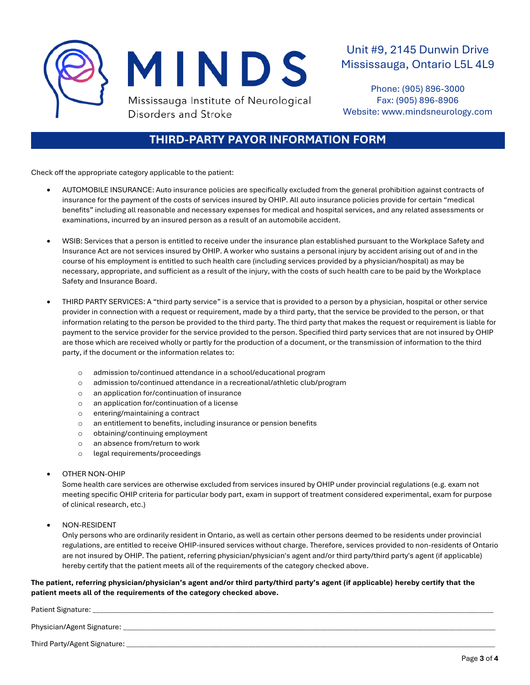

Phone: (905) 896-3000 Fax: (905) 896-8906 Website: www.mindsneurology.com

### **THIRD-PARTY PAYOR INFORMATION FORM**

Check off the appropriate category applicable to the patient:

- AUTOMOBILE INSURANCE: Auto insurance policies are specifically excluded from the general prohibition against contracts of insurance for the payment of the costs of services insured by OHIP. All auto insurance policies provide for certain "medical benefits" including all reasonable and necessary expenses for medical and hospital services, and any related assessments or examinations, incurred by an insured person as a result of an automobile accident.
- WSIB: Services that a person is entitled to receive under the insurance plan established pursuant to the Workplace Safety and Insurance Act are not services insured by OHIP. A worker who sustains a personal injury by accident arising out of and in the course of his employment is entitled to such health care (including services provided by a physician/hospital) as may be necessary, appropriate, and sufficient as a result of the injury, with the costs of such health care to be paid by the Workplace Safety and Insurance Board.
- THIRD PARTY SERVICES: A "third party service" is a service that is provided to a person by a physician, hospital or other service provider in connection with a request or requirement, made by a third party, that the service be provided to the person, or that information relating to the person be provided to the third party. The third party that makes the request or requirement is liable for payment to the service provider for the service provided to the person. Specified third party services that are not insured by OHIP are those which are received wholly or partly for the production of a document, or the transmission of information to the third party, if the document or the information relates to:
	- o admission to/continued attendance in a school/educational program
	- o admission to/continued attendance in a recreational/athletic club/program
	- o an application for/continuation of insurance
	- o an application for/continuation of a license
	- o entering/maintaining a contract
	- o an entitlement to benefits, including insurance or pension benefits
	- o obtaining/continuing employment
	- o an absence from/return to work
	- o legal requirements/proceedings

#### • OTHER NON-OHIP

Some health care services are otherwise excluded from services insured by OHIP under provincial regulations (e.g. exam not meeting specific OHIP criteria for particular body part, exam in support of treatment considered experimental, exam for purpose of clinical research, etc.)

• NON-RESIDENT

Only persons who are ordinarily resident in Ontario, as well as certain other persons deemed to be residents under provincial regulations, are entitled to receive OHIP-insured services without charge. Therefore, services provided to non-residents of Ontario are not insured by OHIP. The patient, referring physician/physician's agent and/or third party/third party's agent (if applicable) hereby certify that the patient meets all of the requirements of the category checked above.

**The patient, referring physician/physician's agent and/or third party/third party's agent (if applicable) hereby certify that the patient meets all of the requirements of the category checked above.**

| Patient Signature:           |
|------------------------------|
| Physician/Agent Signature:   |
| Third Party/Agent Signature: |